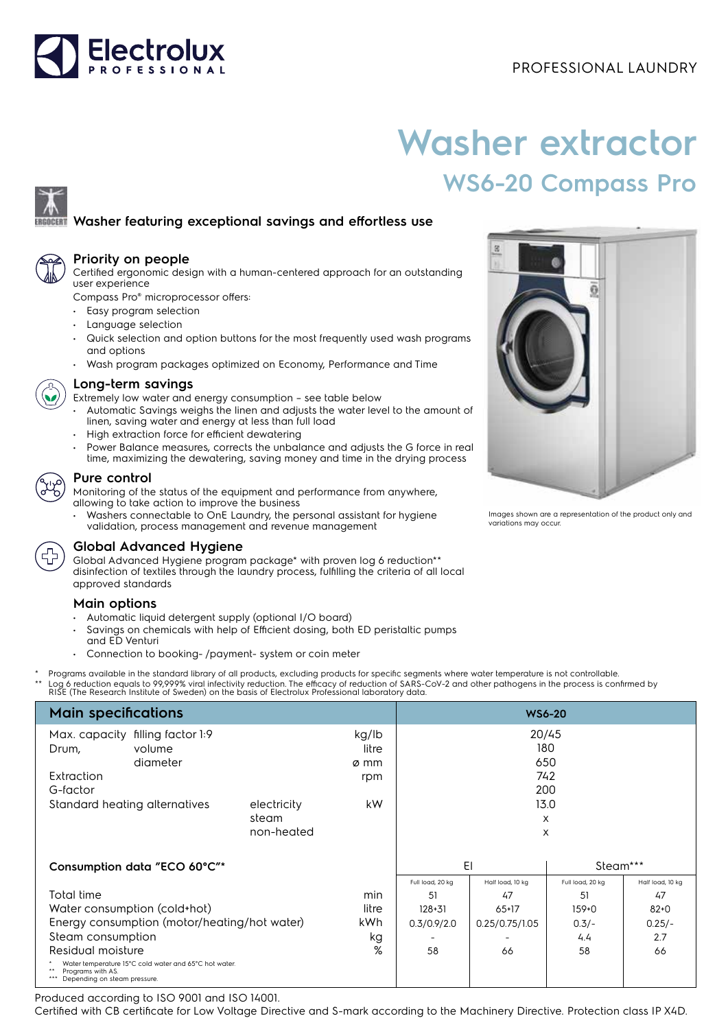

# **Washer extractor WS6-20 Compass Pro**

## **Washer featuring exceptional savings and effortless use**



#### **Priority on people**

Certified ergonomic design with a human-centered approach for an outstanding user experience

Compass Pro® microprocessor offers:

- Easy program selection
- Language selection
- Quick selection and option buttons for the most frequently used wash programs and options
- Wash program packages optimized on Economy, Performance and Time



## **Long-term savings**

- Extremely low water and energy consumption see table below
- Automatic Savings weighs the linen and adjusts the water level to the amount of linen, saving water and energy at less than full load
- High extraction force for efficient dewatering
- Power Balance measures, corrects the unbalance and adjusts the G force in real time, maximizing the dewatering, saving money and time in the drying process

### **Pure control**

Monitoring of the status of the equipment and performance from anywhere, allowing to take action to improve the business

• Washers connectable to OnE Laundry, the personal assistant for hygiene validation, process management and revenue management



## **Global Advanced Hygiene**

Global Advanced Hygiene program package\* with proven log 6 reduction\*\* disinfection of textiles through the laundry process, fulfilling the criteria of all local approved standards

#### **Main options**

- Automatic liquid detergent supply (optional I/O board)
- Savings on chemicals with help of Efficient dosing, both ED peristaltic pumps and ED Venturi
- Connection to booking- /payment- system or coin meter
- \* Programs available in the standard library of all products, excluding products for specific segments where water temperature is not controllable.

\*\* Log 6 reduction equals to 99,999% viral infectivity reduction. The efficacy of reduction of SARS-CoV-2 and other pathogens in the process is confirmed by<br>RISE (The Research Institute of Sweden) on the basis of Electrolu

| <b>Main specifications</b>                                                                                 | <b>WS6-20</b> |       |                  |                  |                  |                  |
|------------------------------------------------------------------------------------------------------------|---------------|-------|------------------|------------------|------------------|------------------|
| Max. capacity filling factor 1:9                                                                           |               | kg/lb | 20/45            |                  |                  |                  |
| volume<br>Drum,                                                                                            |               | litre |                  | 180              |                  |                  |
| diameter                                                                                                   |               | ø mm  |                  | 650              |                  |                  |
| Extraction                                                                                                 |               | rpm   |                  | 742              |                  |                  |
| G-factor                                                                                                   |               |       |                  |                  | 200              |                  |
| Standard heating alternatives<br>electricity                                                               |               | kW    | 13.0             |                  |                  |                  |
|                                                                                                            | steam         |       |                  | X                |                  |                  |
|                                                                                                            | non-heated    |       |                  | X                |                  |                  |
|                                                                                                            |               |       |                  |                  |                  |                  |
| Consumption data "ECO 60°C"*                                                                               |               |       | EI               |                  | Steam***         |                  |
|                                                                                                            |               |       | Full load, 20 kg | Half load, 10 kg | Full load, 20 kg | Half load, 10 kg |
| Total time                                                                                                 |               | min   | 51               | 47               | 51               | 47               |
| Water consumption (cold+hot)                                                                               |               | litre | $128 + 31$       | $65+17$          | $159+0$          | $82 + 0$         |
| Energy consumption (motor/heating/hot water)                                                               |               | kWh.  | 0.3/0.9/2.0      | 0.25/0.75/1.05   | $0.3/-$          | $0.25/-$         |
| Steam consumption                                                                                          |               | kg    |                  |                  | 4.4              | 2.7              |
| Residual moisture                                                                                          |               | %     | 58               | 66               | 58               | 66               |
| Water temperature 15°C cold water and 65°C hot water.<br>Programs with AS.<br>Depending on steam pressure. |               |       |                  |                  |                  |                  |

Produced according to ISO 9001 and ISO 14001.

Certified with CB certificate for Low Voltage Directive and S-mark according to the Machinery Directive. Protection class IP X4D.



Images shown are a representation of the product only and variations may occur.